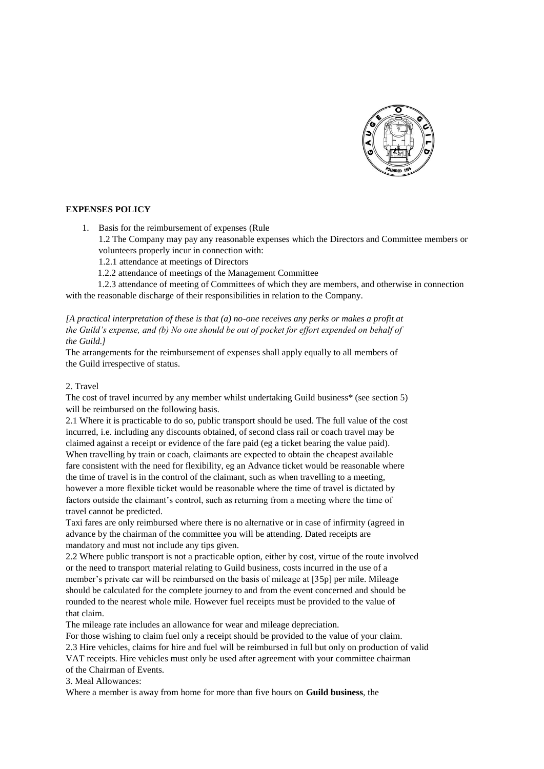

## **EXPENSES POLICY**

- 1. Basis for the reimbursement of expenses (Rule
	- 1.2 The Company may pay any reasonable expenses which the Directors and Committee members or volunteers properly incur in connection with:
	- 1.2.1 attendance at meetings of Directors
	- 1.2.2 attendance of meetings of the Management Committee

 1.2.3 attendance of meeting of Committees of which they are members, and otherwise in connection with the reasonable discharge of their responsibilities in relation to the Company.

*[A practical interpretation of these is that (a) no-one receives any perks or makes a profit at the Guild's expense, and (b) No one should be out of pocket for effort expended on behalf of the Guild.]*

The arrangements for the reimbursement of expenses shall apply equally to all members of the Guild irrespective of status.

## 2. Travel

The cost of travel incurred by any member whilst undertaking Guild business\* (see section 5) will be reimbursed on the following basis.

2.1 Where it is practicable to do so, public transport should be used. The full value of the cost incurred, i.e. including any discounts obtained, of second class rail or coach travel may be claimed against a receipt or evidence of the fare paid (eg a ticket bearing the value paid). When travelling by train or coach, claimants are expected to obtain the cheapest available fare consistent with the need for flexibility, eg an Advance ticket would be reasonable where the time of travel is in the control of the claimant, such as when travelling to a meeting, however a more flexible ticket would be reasonable where the time of travel is dictated by factors outside the claimant's control, such as returning from a meeting where the time of travel cannot be predicted.

Taxi fares are only reimbursed where there is no alternative or in case of infirmity (agreed in advance by the chairman of the committee you will be attending. Dated receipts are mandatory and must not include any tips given.

2.2 Where public transport is not a practicable option, either by cost, virtue of the route involved or the need to transport material relating to Guild business, costs incurred in the use of a member's private car will be reimbursed on the basis of mileage at [35p] per mile. Mileage should be calculated for the complete journey to and from the event concerned and should be rounded to the nearest whole mile. However fuel receipts must be provided to the value of that claim.

The mileage rate includes an allowance for wear and mileage depreciation.

For those wishing to claim fuel only a receipt should be provided to the value of your claim. 2.3 Hire vehicles, claims for hire and fuel will be reimbursed in full but only on production of valid VAT receipts. Hire vehicles must only be used after agreement with your committee chairman of the Chairman of Events.

3. Meal Allowances:

Where a member is away from home for more than five hours on **Guild business**, the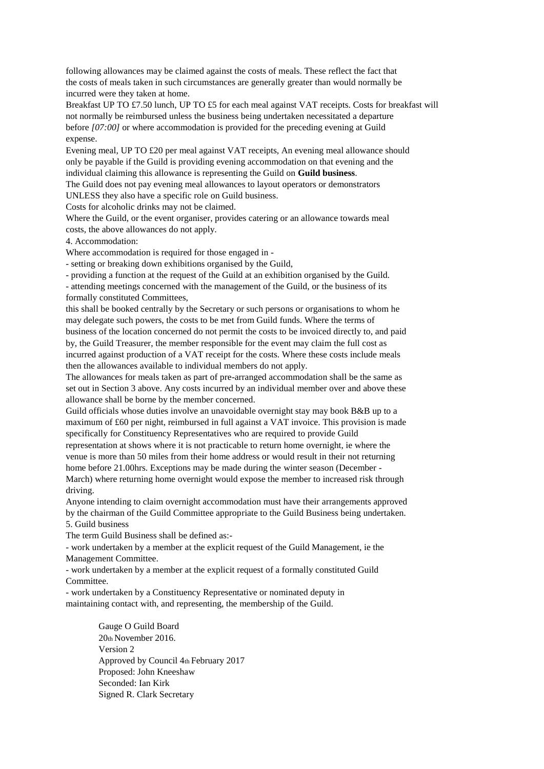following allowances may be claimed against the costs of meals. These reflect the fact that the costs of meals taken in such circumstances are generally greater than would normally be incurred were they taken at home.

Breakfast UP TO £7.50 lunch, UP TO £5 for each meal against VAT receipts. Costs for breakfast will not normally be reimbursed unless the business being undertaken necessitated a departure before *[07:00]* or where accommodation is provided for the preceding evening at Guild expense.

Evening meal, UP TO £20 per meal against VAT receipts, An evening meal allowance should only be payable if the Guild is providing evening accommodation on that evening and the individual claiming this allowance is representing the Guild on **Guild business**.

The Guild does not pay evening meal allowances to layout operators or demonstrators UNLESS they also have a specific role on Guild business.

Costs for alcoholic drinks may not be claimed.

Where the Guild, or the event organiser, provides catering or an allowance towards meal costs, the above allowances do not apply.

4. Accommodation:

Where accommodation is required for those engaged in -

- setting or breaking down exhibitions organised by the Guild,

- providing a function at the request of the Guild at an exhibition organised by the Guild.

- attending meetings concerned with the management of the Guild, or the business of its formally constituted Committees,

this shall be booked centrally by the Secretary or such persons or organisations to whom he may delegate such powers, the costs to be met from Guild funds. Where the terms of business of the location concerned do not permit the costs to be invoiced directly to, and paid by, the Guild Treasurer, the member responsible for the event may claim the full cost as incurred against production of a VAT receipt for the costs. Where these costs include meals then the allowances available to individual members do not apply.

The allowances for meals taken as part of pre-arranged accommodation shall be the same as set out in Section 3 above. Any costs incurred by an individual member over and above these allowance shall be borne by the member concerned.

Guild officials whose duties involve an unavoidable overnight stay may book B&B up to a maximum of £60 per night, reimbursed in full against a VAT invoice. This provision is made specifically for Constituency Representatives who are required to provide Guild representation at shows where it is not practicable to return home overnight, ie where the venue is more than 50 miles from their home address or would result in their not returning home before 21.00hrs. Exceptions may be made during the winter season (December - March) where returning home overnight would expose the member to increased risk through driving.

Anyone intending to claim overnight accommodation must have their arrangements approved by the chairman of the Guild Committee appropriate to the Guild Business being undertaken. 5. Guild business

The term Guild Business shall be defined as:-

- work undertaken by a member at the explicit request of the Guild Management, ie the Management Committee.

- work undertaken by a member at the explicit request of a formally constituted Guild Committee.

- work undertaken by a Constituency Representative or nominated deputy in maintaining contact with, and representing, the membership of the Guild.

> Gauge O Guild Board 20th November 2016. Version 2 Approved by Council 4th February 2017 Proposed: John Kneeshaw Seconded: Ian Kirk Signed R. Clark Secretary